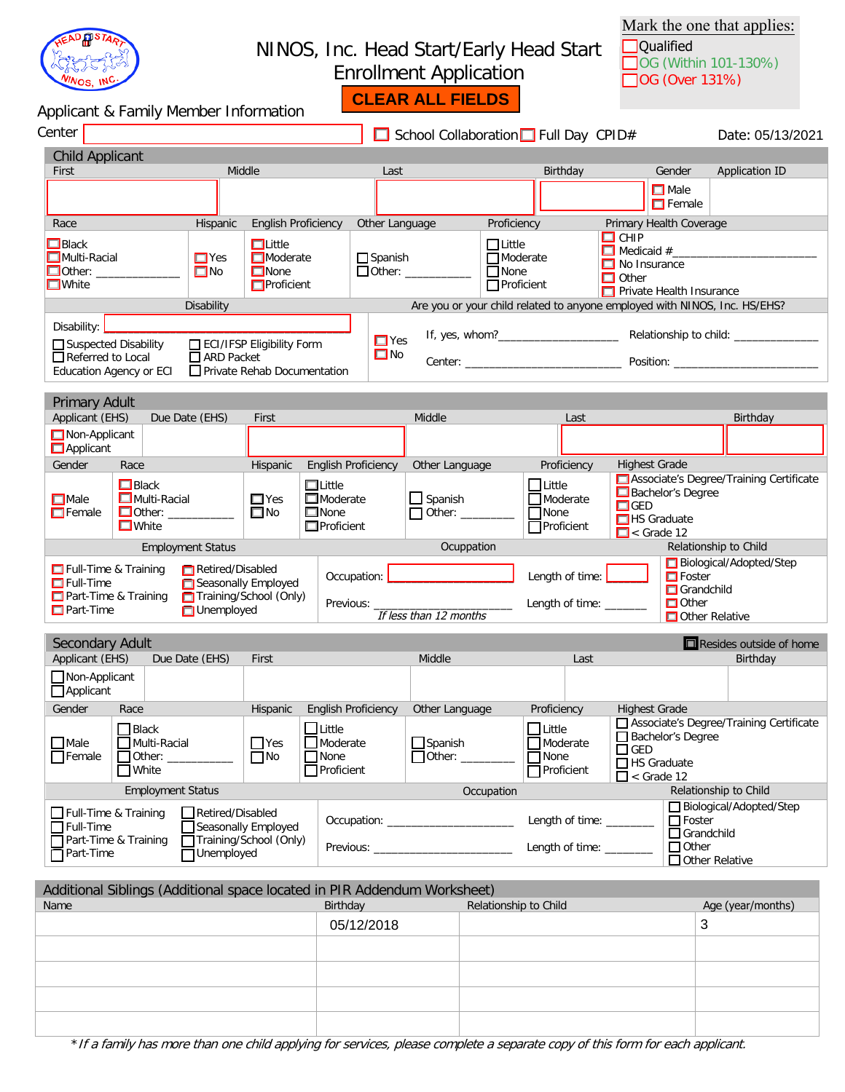

## NINOS, Inc. Head Start/Early Head Start Enrollment Application

Mark the one that applies: Qualified **OG** (Within 101-130%) □ OG (Over 131%)

| Applicant & Family Member Information                                                                |                                                  |                                                                      |                                                                      |                         | <b>CLEAR ALL FIELDS</b>                                      |                                                          |                                                                           |                                                       |                                                                        |                                         |
|------------------------------------------------------------------------------------------------------|--------------------------------------------------|----------------------------------------------------------------------|----------------------------------------------------------------------|-------------------------|--------------------------------------------------------------|----------------------------------------------------------|---------------------------------------------------------------------------|-------------------------------------------------------|------------------------------------------------------------------------|-----------------------------------------|
| Center                                                                                               |                                                  |                                                                      |                                                                      |                         |                                                              |                                                          | School Collaboration Full Day CPID#                                       |                                                       |                                                                        | Date: 05/13/2021                        |
| <b>Child Applicant</b>                                                                               |                                                  |                                                                      |                                                                      |                         |                                                              |                                                          |                                                                           |                                                       |                                                                        |                                         |
| First                                                                                                | Middle                                           |                                                                      |                                                                      | Last                    |                                                              |                                                          | Birthday                                                                  |                                                       | Gender                                                                 | Application ID                          |
|                                                                                                      |                                                  |                                                                      |                                                                      |                         |                                                              |                                                          |                                                                           |                                                       | $\Box$ Male<br>$\Box$ Female                                           |                                         |
| Race                                                                                                 | Hispanic                                         | <b>English Proficiency</b>                                           |                                                                      |                         | Other Language                                               | Proficiency                                              |                                                                           |                                                       | Primary Health Coverage                                                |                                         |
| $\Box$ Black<br>$\Box$ Multi-Racial<br>$\Box$ White                                                  | $\Box$ Yes<br>$\Box$ No                          | $\Box$ Little<br>$\Box$ Moderate<br>$\Box$ None<br>$\Box$ Proficient |                                                                      | $\Box$ Spanish          | $\Box$ Other: ____________                                   | $\Box$ Little<br>$\Box$ Moderate<br>■None<br>■Proficient |                                                                           | $\square$ CHIP<br>$\Box$ No Insurance<br>$\Box$ Other | Private Health Insurance                                               |                                         |
|                                                                                                      | Disability                                       |                                                                      |                                                                      |                         |                                                              |                                                          | Are you or your child related to anyone employed with NINOS, Inc. HS/EHS? |                                                       |                                                                        |                                         |
| Disability:<br>Suspected Disability<br>Referred to Local<br><b>Education Agency or ECI</b>           | $\Box$ ARD Packet                                | ECI/IFSP Eligibility Form<br>$\Box$ Private Rehab Documentation      |                                                                      | $\Box$ Yes<br>$\Box$ No |                                                              |                                                          |                                                                           |                                                       |                                                                        | <b>Center:</b> Position:                |
| <b>Primary Adult</b>                                                                                 |                                                  |                                                                      |                                                                      |                         |                                                              |                                                          |                                                                           |                                                       |                                                                        |                                         |
| Applicant (EHS)<br>Due Date (EHS)                                                                    |                                                  | First                                                                |                                                                      |                         | Middle                                                       |                                                          | Last                                                                      |                                                       |                                                                        | Birthday                                |
| Non-Applicant<br>Applicant                                                                           |                                                  |                                                                      |                                                                      |                         |                                                              |                                                          |                                                                           |                                                       |                                                                        |                                         |
| Gender<br>Race                                                                                       |                                                  | Hispanic                                                             | <b>English Proficiency</b>                                           |                         | Other Language                                               |                                                          | Proficiency                                                               | <b>Highest Grade</b>                                  |                                                                        |                                         |
| $\Box$ Black<br>Multi-Racial<br>$\Box$ Male<br>$\Box$ Other: $\Box$<br>$\Box$ Female<br>$\Box$ White |                                                  | $\Box$ Yes<br>$\square$ No                                           | $\Box$ Little<br><b>Moderate</b><br>$\Box$ None<br>$\Box$ Proficient |                         | $\Box$ Spanish<br>$\Box$ Other: $\_\_\_\_\_\_\_\_\_\_\_\_\_$ |                                                          | $\Box$ Little<br>$\Box$ Moderate<br>$\Box$ None<br>□Proficient            | $\square$ GED<br>$\Box$ < Grade 12                    | Bachelor's Degree<br>$\Box$ HS Graduate                                | Associate's Degree/Training Certificate |
| <b>Employment Status</b>                                                                             |                                                  |                                                                      |                                                                      |                         | Ocuppation                                                   |                                                          |                                                                           |                                                       |                                                                        | Relationship to Child                   |
| $\Box$ Full-Time & Training<br>$\Box$ Full-Time<br>Part-Time & Training<br>$\Box$ Part-Time          | Retired/Disabled<br><b>Unemployed</b>            | Seasonally Employed<br>Training/School (Only)                        | Occupation:                                                          |                         | If less than 12 months                                       |                                                          | Length of time:<br>Length of time: ______                                 |                                                       | $\Box$ Foster<br>$\Box$ Grandchild<br>$\Box$ Other<br>Other Relative   | Biological/Adopted/Step                 |
| Secondary Adult                                                                                      |                                                  |                                                                      |                                                                      |                         |                                                              |                                                          |                                                                           |                                                       |                                                                        | Resides outside of home                 |
| Applicant (EHS)                                                                                      | Due Date (EHS)                                   | First                                                                |                                                                      |                         | Middle                                                       |                                                          | Last                                                                      |                                                       |                                                                        | Birthday                                |
| $\Box$ Non-Applicant<br>Applicant                                                                    |                                                  |                                                                      |                                                                      |                         |                                                              |                                                          |                                                                           |                                                       |                                                                        |                                         |
| Gender Race                                                                                          |                                                  |                                                                      |                                                                      |                         | Hispanic English Proficiency Other Language                  |                                                          | Proficiency Highest Grade                                                 |                                                       |                                                                        | Associate's Degree/Training Certificate |
| Black<br>$\Box$ Male<br>Multi-Racial<br>$\Box$ Female<br>$\Box$ Other: $\Box$<br>$\Box$ White        |                                                  | $\Box$ Yes<br>$\Box$ No                                              | $\Box$ Little<br>Moderate<br>$\Box$ None<br>Proficient               |                         | $\Box$ Spanish<br>$\Box$ Other: $\_\_$                       |                                                          | $\Box$ Little<br>Moderate<br><b>None</b><br>Proficient                    | $\Box$ GED<br>$\Box$ < Grade 12                       | Bachelor's Degree<br>$\Box$ HS Graduate                                |                                         |
| <b>Employment Status</b>                                                                             |                                                  |                                                                      |                                                                      |                         |                                                              | Occupation                                               |                                                                           |                                                       |                                                                        | Relationship to Child                   |
| $\Box$ Full-Time & Training<br>$\Box$ Full-Time<br>Part-Time & Training<br>$\Box$ Part-Time          | Retired/Disabled<br>$\overline{\Box}$ Unemployed | Seasonally Employed<br>Training/School (Only)                        |                                                                      |                         | Occupation: _______________________                          |                                                          | Length of time: _______<br>Length of time: _______                        |                                                       | $\Box$ Foster<br>$\Box$ Grandchild<br>$\Box$ Other<br>□ Other Relative | □ Biological/Adopted/Step               |
| Additional Siblings (Additional space located in PIR Addendum Worksheet)                             |                                                  |                                                                      |                                                                      |                         |                                                              |                                                          |                                                                           |                                                       |                                                                        |                                         |
| Name                                                                                                 |                                                  |                                                                      | Birthday                                                             |                         |                                                              |                                                          | Relationship to Child                                                     |                                                       |                                                                        | Age (year/months)                       |

| Name | Birthday   | Relationship to Child | Age (year/months) |
|------|------------|-----------------------|-------------------|
|      | 05/12/2018 |                       | C۰                |
|      |            |                       |                   |
|      |            |                       |                   |
|      |            |                       |                   |
|      |            |                       |                   |

\*If a family has more than one child applying for services, please complete a separate copy of this form for each applicant.